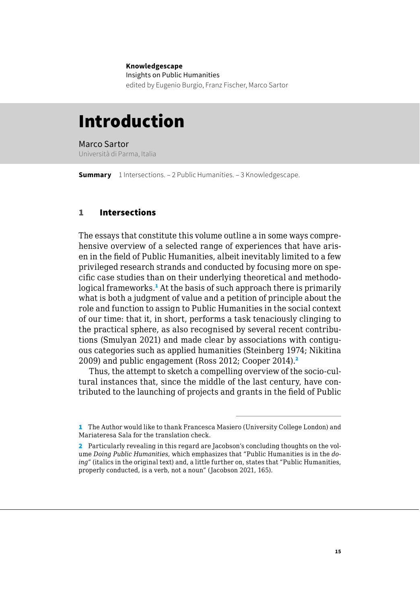#### **Knowledgescape**

Insights on Public Humanities edited by Eugenio Burgio, Franz Fischer, Marco Sartor

# Introduction

Marco Sartor Università di Parma, Italia

**Summary** 1 Intersections. – [2 Public Humanities](#page-5-0). – [3 Knowledgescape](#page-9-0).

# 1 Intersections

The essays that constitute this volume outline a in some ways comprehensive overview of a selected range of experiences that have arisen in the field of Public Humanities, albeit inevitably limited to a few privileged research strands and conducted by focusing more on specific case studies than on their underlying theoretical and methodological frameworks.<sup>1</sup> At the basis of such approach there is primarily what is both a judgment of value and a petition of principle about the role and function to assign to Public Humanities in the social context of our time: that it, in short, performs a task tenaciously clinging to the practical sphere, as also recognised by several recent contributions (Smulyan 2021) and made clear by associations with contiguous categories such as applied humanities (Steinberg 1974; Nikitina 2009) and public engagement (Ross 2012; Cooper 2014).<sup>2</sup>

Thus, the attempt to sketch a compelling overview of the socio-cultural instances that, since the middle of the last century, have contributed to the launching of projects and grants in the field of Public

<sup>1</sup> The Author would like to thank Francesca Masiero (University College London) and Mariateresa Sala for the translation check.

<sup>2</sup> Particularly revealing in this regard are Jacobson's concluding thoughts on the volume *Doing Public Humanities*, which emphasizes that "Public Humanities is in the *doing"* (italics in the original text) and, a little further on, states that "Public Humanities, properly conducted, is a verb, not a noun" (Jacobson 2021, 165).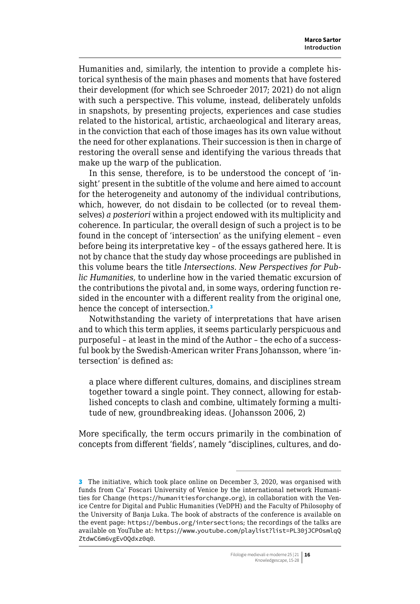Humanities and, similarly, the intention to provide a complete historical synthesis of the main phases and moments that have fostered their development (for which see Schroeder 2017; 2021) do not align with such a perspective. This volume, instead, deliberately unfolds in snapshots, by presenting projects, experiences and case studies related to the historical, artistic, archaeological and literary areas, in the conviction that each of those images has its own value without the need for other explanations. Their succession is then in charge of restoring the overall sense and identifying the various threads that make up the warp of the publication.

In this sense, therefore, is to be understood the concept of 'insight' present in the subtitle of the volume and here aimed to account for the heterogeneity and autonomy of the individual contributions, which, however, do not disdain to be collected (or to reveal themselves) *a posteriori* within a project endowed with its multiplicity and coherence. In particular, the overall design of such a project is to be found in the concept of 'intersection' as the unifying element – even before being its interpretative key – of the essays gathered here. It is not by chance that the study day whose proceedings are published in this volume bears the title *Intersections. New Perspectives for Public Humanities*, to underline how in the varied thematic excursion of the contributions the pivotal and, in some ways, ordering function resided in the encounter with a different reality from the original one, hence the concept of intersection.<sup>3</sup>

Notwithstanding the variety of interpretations that have arisen and to which this term applies, it seems particularly perspicuous and purposeful – at least in the mind of the Author – the echo of a successful book by the Swedish-American writer Frans Johansson, where 'intersection' is defined as:

a place where different cultures, domains, and disciplines stream together toward a single point. They connect, allowing for established concepts to clash and combine, ultimately forming a multitude of new, groundbreaking ideas. (Johansson 2006, 2)

More specifically, the term occurs primarily in the combination of concepts from different 'fields', namely "disciplines, cultures, and do-

<sup>3</sup> The initiative, which took place online on December 3, 2020, was organised with funds from Ca' Foscari University of Venice by the international network Humanities for Change ([https://humanitiesforchange.org](https://humanitiesforchange.org/)), in collaboration with the Venice Centre for Digital and Public Humanities (VeDPH) and the Faculty of Philosophy of the University of Banja Luka. The book of abstracts of the conference is available on the event page: <https://bembus.org/intersections>; the recordings of the talks are available on YouTube at: [https://www.youtube.com/playlist?list=PL30jJCPOsmlqQ](https://www.youtube.com/playlist?list=PL30jJCPOsmlqQZtdwC6m6vgEvOQdxz0q0) [ZtdwC6m6vgEvOQdxz0q0](https://www.youtube.com/playlist?list=PL30jJCPOsmlqQZtdwC6m6vgEvOQdxz0q0).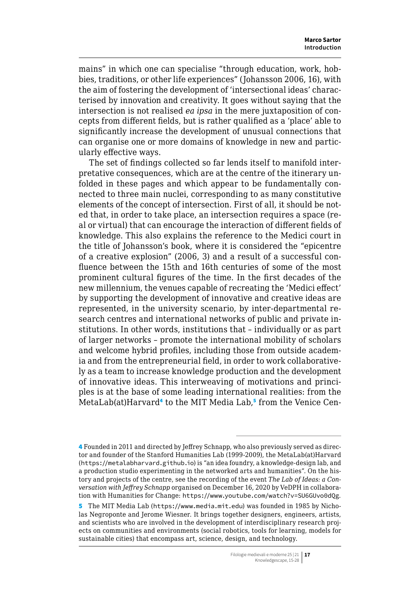mains" in which one can specialise "through education, work, hobbies, traditions, or other life experiences" (Johansson 2006, 16), with the aim of fostering the development of 'intersectional ideas' characterised by innovation and creativity. It goes without saying that the intersection is not realised *ea ipsa* in the mere juxtaposition of concepts from different fields, but is rather qualified as a 'place' able to significantly increase the development of unusual connections that can organise one or more domains of knowledge in new and particularly effective ways.

The set of findings collected so far lends itself to manifold interpretative consequences, which are at the centre of the itinerary unfolded in these pages and which appear to be fundamentally connected to three main nuclei, corresponding to as many constitutive elements of the concept of intersection. First of all, it should be noted that, in order to take place, an intersection requires a space (real or virtual) that can encourage the interaction of different fields of knowledge. This also explains the reference to the Medici court in the title of Johansson's book, where it is considered the "epicentre of a creative explosion" (2006, 3) and a result of a successful confluence between the 15th and 16th centuries of some of the most prominent cultural figures of the time. In the first decades of the new millennium, the venues capable of recreating the 'Medici effect' by supporting the development of innovative and creative ideas are represented, in the university scenario, by inter-departmental research centres and international networks of public and private institutions. In other words, institutions that – individually or as part of larger networks – promote the international mobility of scholars and welcome hybrid profiles, including those from outside academia and from the entrepreneurial field, in order to work collaboratively as a team to increase knowledge production and the development of innovative ideas. This interweaving of motivations and principles is at the base of some leading international realities: from the MetaLab(at)Harvard<sup>4</sup> to the MIT Media Lab,<sup>5</sup> from the Venice Cen-

<sup>4</sup> Founded in 2011 and directed by Jeffrey Schnapp, who also previously served as director and founder of the Stanford Humanities Lab (1999-2009), the MetaLab(at)Harvard ([https://metalabharvard.github.io](https://metalabharvard.github.io/)) is "an idea foundry, a knowledge-design lab, and a production studio experimenting in the networked arts and humanities". On the history and projects of the centre, see the recording of the event *The Lab of Ideas: a Conversation with Jeffrey Schnapp* organised on December 16, 2020 by VeDPH in collaboration with Humanities for Change: <https://www.youtube.com/watch?v=SU6GUvo0dQg>.

<sup>5</sup> The MIT Media Lab ([https://www.media.mit.edu](https://www.media.mit.edu/)) was founded in 1985 by Nicholas Negroponte and Jerome Wiesner. It brings together designers, engineers, artists, and scientists who are involved in the development of interdisciplinary research projects on communities and environments (social robotics, tools for learning, models for sustainable cities) that encompass art, science, design, and technology.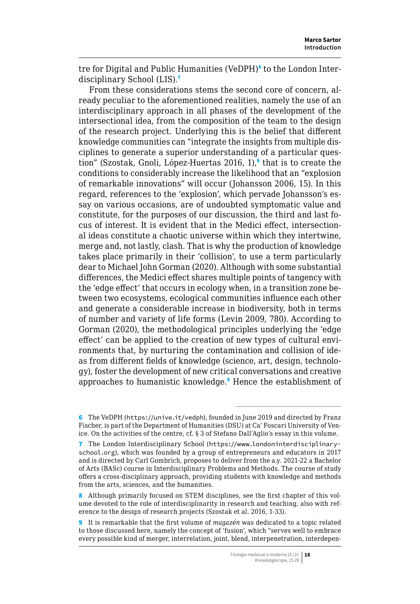tre for Digital and Public Humanities (VeDPH)<sup>6</sup> to the London Interdisciplinary School (LIS).<sup>7</sup>

From these considerations stems the second core of concern, already peculiar to the aforementioned realities, namely the use of an interdisciplinary approach in all phases of the development of the intersectional idea, from the composition of the team to the design of the research project. Underlying this is the belief that different knowledge communities can "integrate the insights from multiple disciplines to generate a superior understanding of a particular question" (Szostak, Gnoli, López-Huertas 2016, 1),<sup>8</sup> that is to create the conditions to considerably increase the likelihood that an "explosion of remarkable innovations" will occur (Johansson 2006, 15). In this regard, references to the 'explosion', which pervade Johansson's essay on various occasions, are of undoubted symptomatic value and constitute, for the purposes of our discussion, the third and last focus of interest. It is evident that in the Medici effect, intersectional ideas constitute a chaotic universe within which they intertwine, merge and, not lastly, clash. That is why the production of knowledge takes place primarily in their 'collision', to use a term particularly dear to Michael John Gorman (2020). Although with some substantial differences, the Medici effect shares multiple points of tangency with the 'edge effect' that occurs in ecology when, in a transition zone between two ecosystems, ecological communities influence each other and generate a considerable increase in biodiversity, both in terms of number and variety of life forms (Levin 2009, 780). According to Gorman (2020), the methodological principles underlying the 'edge effect' can be applied to the creation of new types of cultural environments that, by nurturing the contamination and collision of ideas from different fields of knowledge (science, art, design, technology), foster the development of new critical conversations and creative approaches to humanistic knowledge.<sup>9</sup> Hence the establishment of

<sup>6</sup> The VeDPH (<https://unive.it/vedph>), founded in June 2019 and directed by Franz Fischer, is part of the Department of Humanities (DSU) at Ca' Foscari University of Venice. On the activities of the centre, cf. § 3 of Stefano Dall'Aglio's essay in this volume.

<sup>7</sup> The London Interdisciplinary School ([https://www.londoninterdisciplinary](https://www.londoninterdisciplinaryschool.org/)[school.org](https://www.londoninterdisciplinaryschool.org/)), which was founded by a group of entrepreneurs and educators in 2017 and is directed by Carl Gombrich, proposes to deliver from the a.y. 2021-22 a Bachelor of Arts (BASc) course in Interdisciplinary Problems and Methods. The course of study offers a cross-disciplinary approach, providing students with knowledge and methods from the arts, sciences, and the humanities.

<sup>8</sup> Although primarily focused on STEM disciplines, see the first chapter of this volume devoted to the role of interdisciplinarity in research and teaching, also with reference to the design of research projects (Szostak et al. 2016, 1-33).

<sup>9</sup> It is remarkable that the first volume of *magazén* was dedicated to a topic related to those discussed here, namely the concept of 'fusion', which "serves well to embrace every possible kind of merger, interrelation, joint, blend, interpenetration, interdepen-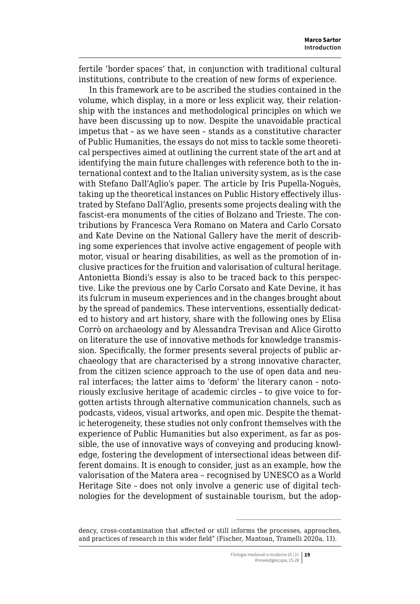fertile 'border spaces' that, in conjunction with traditional cultural institutions, contribute to the creation of new forms of experience.

In this framework are to be ascribed the studies contained in the volume, which display, in a more or less explicit way, their relationship with the instances and methodological principles on which we have been discussing up to now. Despite the unavoidable practical impetus that – as we have seen – stands as a constitutive character of Public Humanities, the essays do not miss to tackle some theoretical perspectives aimed at outlining the current state of the art and at identifying the main future challenges with reference both to the international context and to the Italian university system, as is the case with Stefano Dall'Aglio's paper. The article by Iris Pupella-Noguès, taking up the theoretical instances on Public History effectively illustrated by Stefano Dall'Aglio, presents some projects dealing with the fascist-era monuments of the cities of Bolzano and Trieste. The contributions by Francesca Vera Romano on Matera and Carlo Corsato and Kate Devine on the National Gallery have the merit of describing some experiences that involve active engagement of people with motor, visual or hearing disabilities, as well as the promotion of inclusive practices for the fruition and valorisation of cultural heritage. Antonietta Biondi's essay is also to be traced back to this perspective. Like the previous one by Carlo Corsato and Kate Devine, it has its fulcrum in museum experiences and in the changes brought about by the spread of pandemics. These interventions, essentially dedicated to history and art history, share with the following ones by Elisa Corrò on archaeology and by Alessandra Trevisan and Alice Girotto on literature the use of innovative methods for knowledge transmission. Specifically, the former presents several projects of public archaeology that are characterised by a strong innovative character, from the citizen science approach to the use of open data and neural interfaces; the latter aims to 'deform' the literary canon – notoriously exclusive heritage of academic circles – to give voice to forgotten artists through alternative communication channels, such as podcasts, videos, visual artworks, and open mic. Despite the thematic heterogeneity, these studies not only confront themselves with the experience of Public Humanities but also experiment, as far as possible, the use of innovative ways of conveying and producing knowledge, fostering the development of intersectional ideas between different domains. It is enough to consider, just as an example, how the valorisation of the Matera area – recognised by UNESCO as a World Heritage Site – does not only involve a generic use of digital technologies for the development of sustainable tourism, but the adop-

dency, cross-contamination that affected or still informs the processes, approaches, and practices of research in this wider field" (Fischer, Mantoan, Tramelli 2020a, 11).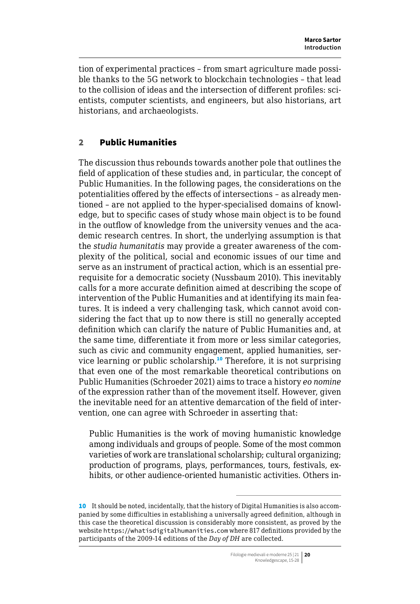<span id="page-5-0"></span>tion of experimental practices – from smart agriculture made possible thanks to the 5G network to blockchain technologies – that lead to the collision of ideas and the intersection of different profiles: scientists, computer scientists, and engineers, but also historians, art historians, and archaeologists.

# 2 Public Humanities

The discussion thus rebounds towards another pole that outlines the field of application of these studies and, in particular, the concept of Public Humanities. In the following pages, the considerations on the potentialities offered by the effects of intersections – as already mentioned – are not applied to the hyper-specialised domains of knowledge, but to specific cases of study whose main object is to be found in the outflow of knowledge from the university venues and the academic research centres. In short, the underlying assumption is that the *studia humanitatis* may provide a greater awareness of the complexity of the political, social and economic issues of our time and serve as an instrument of practical action, which is an essential prerequisite for a democratic society (Nussbaum 2010). This inevitably calls for a more accurate definition aimed at describing the scope of intervention of the Public Humanities and at identifying its main features. It is indeed a very challenging task, which cannot avoid considering the fact that up to now there is still no generally accepted definition which can clarify the nature of Public Humanities and, at the same time, differentiate it from more or less similar categories, such as civic and community engagement, applied humanities, service learning or public scholarship.<sup>10</sup> Therefore, it is not surprising that even one of the most remarkable theoretical contributions on Public Humanities (Schroeder 2021) aims to trace a history *eo nomine* of the expression rather than of the movement itself. However, given the inevitable need for an attentive demarcation of the field of intervention, one can agree with Schroeder in asserting that:

Public Humanities is the work of moving humanistic knowledge among individuals and groups of people. Some of the most common varieties of work are translational scholarship; cultural organizing; production of programs, plays, performances, tours, festivals, exhibits, or other audience-oriented humanistic activities. Others in-

<sup>10</sup> It should be noted, incidentally, that the history of Digital Humanities is also accompanied by some difficulties in establishing a universally agreed definition, although in this case the theoretical discussion is considerably more consistent, as proved by the website [https://whatisdigitalhumanities.com](https://whatisdigitalhumanities.com/) where 817 definitions provided by the participants of the 2009-14 editions of the *Day of DH* are collected.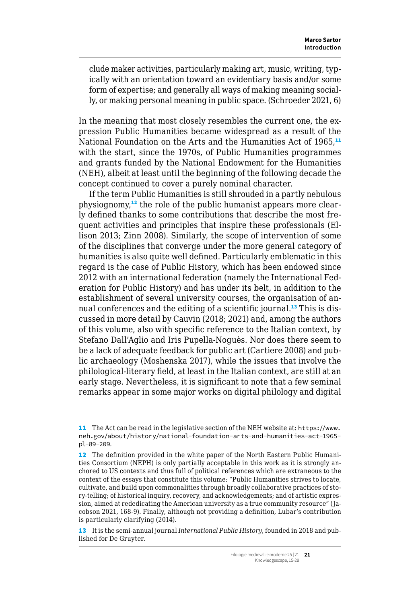clude maker activities, particularly making art, music, writing, typically with an orientation toward an evidentiary basis and/or some form of expertise; and generally all ways of making meaning socially, or making personal meaning in public space. (Schroeder 2021, 6)

In the meaning that most closely resembles the current one, the expression Public Humanities became widespread as a result of the National Foundation on the Arts and the Humanities Act of 1965,<sup>11</sup> with the start, since the 1970s, of Public Humanities programmes and grants funded by the National Endowment for the Humanities (NEH), albeit at least until the beginning of the following decade the concept continued to cover a purely nominal character.

If the term Public Humanities is still shrouded in a partly nebulous physiognomy,12 the role of the public humanist appears more clearly defined thanks to some contributions that describe the most frequent activities and principles that inspire these professionals (Ellison 2013; Zinn 2008). Similarly, the scope of intervention of some of the disciplines that converge under the more general category of humanities is also quite well defined. Particularly emblematic in this regard is the case of Public History, which has been endowed since 2012 with an international federation (namely the International Federation for Public History) and has under its belt, in addition to the establishment of several university courses, the organisation of annual conferences and the editing of a scientific journal.<sup>13</sup> This is discussed in more detail by Cauvin (2018; 2021) and, among the authors of this volume, also with specific reference to the Italian context, by Stefano Dall'Aglio and Iris Pupella-Noguès. Nor does there seem to be a lack of adequate feedback for public art (Cartiere 2008) and public archaeology (Moshenska 2017), while the issues that involve the philological-literary field, at least in the Italian context, are still at an early stage. Nevertheless, it is significant to note that a few seminal remarks appear in some major works on digital philology and digital

<sup>11</sup> The Act can be read in the legislative section of the NEH website at: [https://www.](https://www.neh.gov/about/history/national-foundation-arts-and-humanities-act-1965-pl-89-209) [neh.gov/about/history/national-foundation-arts-and-humanities-act-1965](https://www.neh.gov/about/history/national-foundation-arts-and-humanities-act-1965-pl-89-209) [pl-89-209](https://www.neh.gov/about/history/national-foundation-arts-and-humanities-act-1965-pl-89-209).

<sup>12</sup> The definition provided in the white paper of the North Eastern Public Humanities Consortium (NEPH) is only partially acceptable in this work as it is strongly anchored to US contexts and thus full of political references which are extraneous to the context of the essays that constitute this volume: "Public Humanities strives to locate, cultivate, and build upon commonalities through broadly collaborative practices of story-telling; of historical inquiry, recovery, and acknowledgements; and of artistic expression, aimed at rededicating the American university as a true community resource" (Jacobson 2021, 168-9). Finally, although not providing a definition, Lubar's contribution is particularly clarifying (2014).

<sup>13</sup> It is the semi-annual journal *International Public History*, founded in 2018 and published for De Gruyter.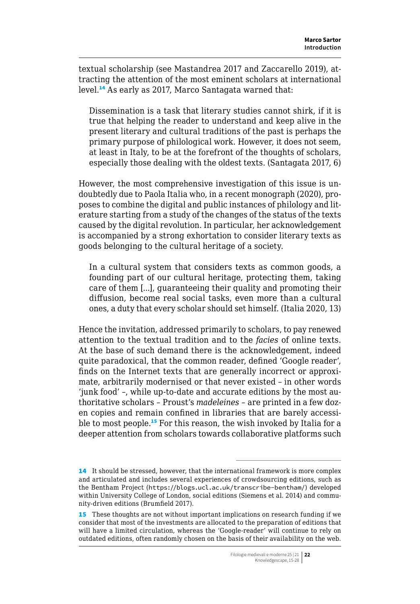textual scholarship (see Mastandrea 2017 and Zaccarello 2019), attracting the attention of the most eminent scholars at international level.<sup>14</sup> As early as 2017, Marco Santagata warned that:

Dissemination is a task that literary studies cannot shirk, if it is true that helping the reader to understand and keep alive in the present literary and cultural traditions of the past is perhaps the primary purpose of philological work. However, it does not seem, at least in Italy, to be at the forefront of the thoughts of scholars, especially those dealing with the oldest texts. (Santagata 2017, 6)

However, the most comprehensive investigation of this issue is undoubtedly due to Paola Italia who, in a recent monograph (2020), proposes to combine the digital and public instances of philology and literature starting from a study of the changes of the status of the texts caused by the digital revolution. In particular, her acknowledgement is accompanied by a strong exhortation to consider literary texts as goods belonging to the cultural heritage of a society.

In a cultural system that considers texts as common goods, a founding part of our cultural heritage, protecting them, taking care of them [...], guaranteeing their quality and promoting their diffusion, become real social tasks, even more than a cultural ones, a duty that every scholar should set himself. (Italia 2020, 13)

Hence the invitation, addressed primarily to scholars, to pay renewed attention to the textual tradition and to the *facies* of online texts. At the base of such demand there is the acknowledgement, indeed quite paradoxical, that the common reader, defined 'Google reader', finds on the Internet texts that are generally incorrect or approximate, arbitrarily modernised or that never existed – in other words 'junk food' –, while up-to-date and accurate editions by the most authoritative scholars – Proust's *madeleines* – are printed in a few dozen copies and remain confined in libraries that are barely accessible to most people.<sup>15</sup> For this reason, the wish invoked by Italia for a deeper attention from scholars towards collaborative platforms such

<sup>14</sup> It should be stressed, however, that the international framework is more complex and articulated and includes several experiences of crowdsourcing editions, such as the Bentham Project (<https://blogs.ucl.ac.uk/transcribe-bentham/>) developed within University College of London, social editions (Siemens et al. 2014) and community-driven editions (Brumfield 2017).

<sup>15</sup> These thoughts are not without important implications on research funding if we consider that most of the investments are allocated to the preparation of editions that will have a limited circulation, whereas the 'Google-reader' will continue to rely on outdated editions, often randomly chosen on the basis of their availability on the web.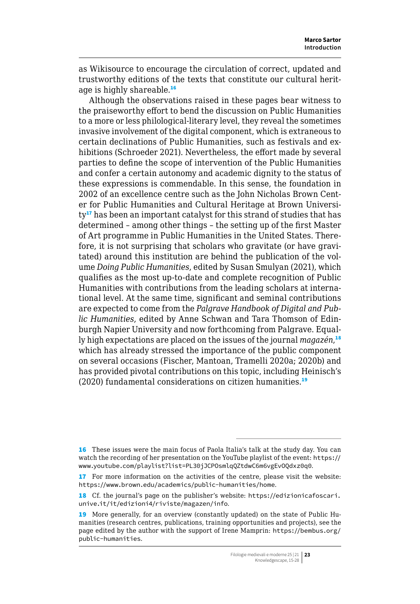as Wikisource to encourage the circulation of correct, updated and trustworthy editions of the texts that constitute our cultural heritage is highly shareable.<sup>16</sup>

Although the observations raised in these pages bear witness to the praiseworthy effort to bend the discussion on Public Humanities to a more or less philological-literary level, they reveal the sometimes invasive involvement of the digital component, which is extraneous to certain declinations of Public Humanities, such as festivals and exhibitions (Schroeder 2021). Nevertheless, the effort made by several parties to define the scope of intervention of the Public Humanities and confer a certain autonomy and academic dignity to the status of these expressions is commendable. In this sense, the foundation in 2002 of an excellence centre such as the John Nicholas Brown Center for Public Humanities and Cultural Heritage at Brown University<sup>17</sup> has been an important catalyst for this strand of studies that has determined – among other things – the setting up of the first Master of Art programme in Public Humanities in the United States. Therefore, it is not surprising that scholars who gravitate (or have gravitated) around this institution are behind the publication of the volume *Doing Public Humanities*, edited by Susan Smulyan (2021), which qualifies as the most up-to-date and complete recognition of Public Humanities with contributions from the leading scholars at international level. At the same time, significant and seminal contributions are expected to come from the *Palgrave Handbook of Digital and Public Humanities*, edited by Anne Schwan and Tara Thomson of Edinburgh Napier University and now forthcoming from Palgrave. Equally high expectations are placed on the issues of the journal *magazén*, 18 which has already stressed the importance of the public component on several occasions (Fischer, Mantoan, Tramelli 2020a; 2020b) and has provided pivotal contributions on this topic, including Heinisch's (2020) fundamental considerations on citizen humanities.<sup>19</sup>

<sup>16</sup> These issues were the main focus of Paola Italia's talk at the study day. You can watch the recording of her presentation on the YouTube playlist of the event: [https://](https://www.youtube.com/playlist?list=PL30jJCPOsmlqQZtdwC6m6vgEvOQdxz0q0) [www.youtube.com/playlist?list=PL30jJCPOsmlqQZtdwC6m6vgEvOQdxz0q0](https://www.youtube.com/playlist?list=PL30jJCPOsmlqQZtdwC6m6vgEvOQdxz0q0).

<sup>17</sup> For more information on the activities of the centre, please visit the website: <https://www.brown.edu/academics/public-humanities/home>.

<sup>18</sup> Cf. the journal's page on the publisher's website: [https://edizionicafoscari.](https://edizionicafoscari.unive.it/it/edizioni4/riviste/magazen/info) [unive.it/it/edizioni4/riviste/magazen/info](https://edizionicafoscari.unive.it/it/edizioni4/riviste/magazen/info).

<sup>19</sup> More generally, for an overview (constantly updated) on the state of Public Humanities (research centres, publications, training opportunities and projects), see the page edited by the author with the support of Irene Mamprin: [https://bembus.org/](https://bembus.org/public-humanities) [public-humanities](https://bembus.org/public-humanities).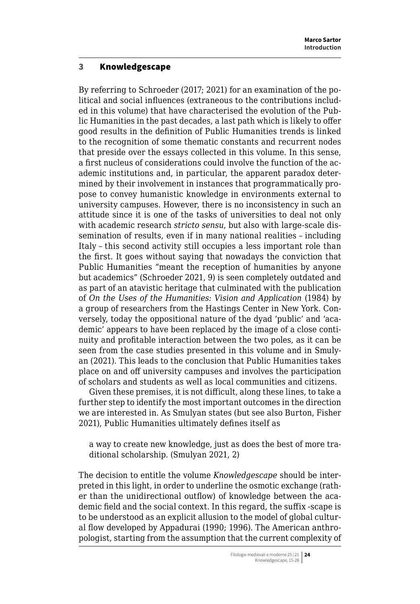### <span id="page-9-0"></span>3 Knowledgescape

By referring to Schroeder (2017; 2021) for an examination of the political and social influences (extraneous to the contributions included in this volume) that have characterised the evolution of the Public Humanities in the past decades, a last path which is likely to offer good results in the definition of Public Humanities trends is linked to the recognition of some thematic constants and recurrent nodes that preside over the essays collected in this volume. In this sense, a first nucleus of considerations could involve the function of the academic institutions and, in particular, the apparent paradox determined by their involvement in instances that programmatically propose to convey humanistic knowledge in environments external to university campuses. However, there is no inconsistency in such an attitude since it is one of the tasks of universities to deal not only with academic research *stricto sensu*, but also with large-scale dissemination of results, even if in many national realities – including Italy – this second activity still occupies a less important role than the first. It goes without saying that nowadays the conviction that Public Humanities "meant the reception of humanities by anyone but academics" (Schroeder 2021, 9) is seen completely outdated and as part of an atavistic heritage that culminated with the publication of *On the Uses of the Humanities: Vision and Application* (1984) by a group of researchers from the Hastings Center in New York. Conversely, today the oppositional nature of the dyad 'public' and 'academic' appears to have been replaced by the image of a close continuity and profitable interaction between the two poles, as it can be seen from the case studies presented in this volume and in Smulyan (2021). This leads to the conclusion that Public Humanities takes place on and off university campuses and involves the participation of scholars and students as well as local communities and citizens.

Given these premises, it is not difficult, along these lines, to take a further step to identify the most important outcomes in the direction we are interested in. As Smulyan states (but see also Burton, Fisher 2021), Public Humanities ultimately defines itself as

a way to create new knowledge, just as does the best of more traditional scholarship. (Smulyan 2021, 2)

The decision to entitle the volume *Knowledgescape* should be interpreted in this light, in order to underline the osmotic exchange (rather than the unidirectional outflow) of knowledge between the academic field and the social context. In this regard, the suffix -scape is to be understood as an explicit allusion to the model of global cultural flow developed by Appadurai (1990; 1996). The American anthropologist, starting from the assumption that the current complexity of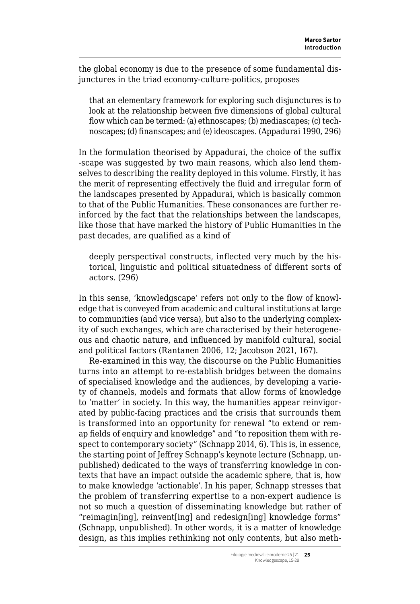the global economy is due to the presence of some fundamental disjunctures in the triad economy-culture-politics, proposes

that an elementary framework for exploring such disjunctures is to look at the relationship between five dimensions of global cultural flow which can be termed: (a) ethnoscapes; (b) mediascapes; (c) technoscapes; (d) finanscapes; and (e) ideoscapes. (Appadurai 1990, 296)

In the formulation theorised by Appadurai, the choice of the suffix -scape was suggested by two main reasons, which also lend themselves to describing the reality deployed in this volume. Firstly, it has the merit of representing effectively the fluid and irregular form of the landscapes presented by Appadurai, which is basically common to that of the Public Humanities. These consonances are further reinforced by the fact that the relationships between the landscapes, like those that have marked the history of Public Humanities in the past decades, are qualified as a kind of

deeply perspectival constructs, inflected very much by the historical, linguistic and political situatedness of different sorts of actors. (296)

In this sense, 'knowledgscape' refers not only to the flow of knowledge that is conveyed from academic and cultural institutions at large to communities (and vice versa), but also to the underlying complexity of such exchanges, which are characterised by their heterogeneous and chaotic nature, and influenced by manifold cultural, social and political factors (Rantanen 2006, 12; Jacobson 2021, 167).

Re-examined in this way, the discourse on the Public Humanities turns into an attempt to re-establish bridges between the domains of specialised knowledge and the audiences, by developing a variety of channels, models and formats that allow forms of knowledge to 'matter' in society. In this way, the humanities appear reinvigorated by public-facing practices and the crisis that surrounds them is transformed into an opportunity for renewal "to extend or remap fields of enquiry and knowledge" and "to reposition them with respect to contemporary society" (Schnapp 2014, 6). This is, in essence, the starting point of Jeffrey Schnapp's keynote lecture (Schnapp, unpublished) dedicated to the ways of transferring knowledge in contexts that have an impact outside the academic sphere, that is, how to make knowledge 'actionable'. In his paper, Schnapp stresses that the problem of transferring expertise to a non-expert audience is not so much a question of disseminating knowledge but rather of "reimagin[ing], reinvent[ing] and redesign[ing] knowledge forms" (Schnapp, unpublished). In other words, it is a matter of knowledge design, as this implies rethinking not only contents, but also meth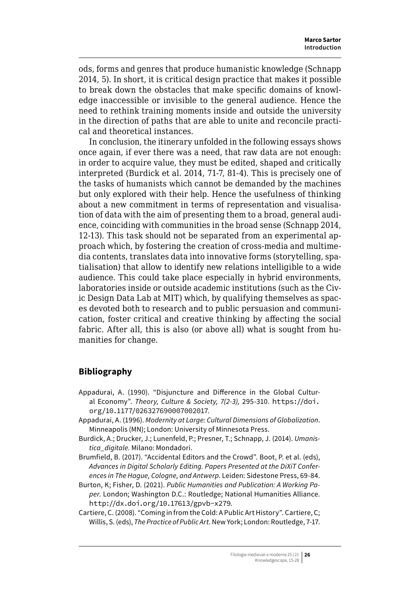ods, forms and genres that produce humanistic knowledge (Schnapp 2014, 5). In short, it is critical design practice that makes it possible to break down the obstacles that make specific domains of knowledge inaccessible or invisible to the general audience. Hence the need to rethink training moments inside and outside the university in the direction of paths that are able to unite and reconcile practical and theoretical instances.

In conclusion, the itinerary unfolded in the following essays shows once again, if ever there was a need, that raw data are not enough: in order to acquire value, they must be edited, shaped and critically interpreted (Burdick et al. 2014, 71-7, 81-4). This is precisely one of the tasks of humanists which cannot be demanded by the machines but only explored with their help. Hence the usefulness of thinking about a new commitment in terms of representation and visualisation of data with the aim of presenting them to a broad, general audience, coinciding with communities in the broad sense (Schnapp 2014, 12-13). This task should not be separated from an experimental approach which, by fostering the creation of cross-media and multimedia contents, translates data into innovative forms (storytelling, spatialisation) that allow to identify new relations intelligible to a wide audience. This could take place especially in hybrid environments, laboratories inside or outside academic institutions (such as the Civic Design Data Lab at MIT) which, by qualifying themselves as spaces devoted both to research and to public persuasion and communication, foster critical and creative thinking by affecting the social fabric. After all, this is also (or above all) what is sought from humanities for change.

# **Bibliography**

- Appadurai, A. (1990). "Disjuncture and Difference in the Global Cultural Economy". *Theory, Culture & Society, 7(2-3),* 295-310. [https://doi.](https://doi.org/10.1177/026327690007002017) [org/10.1177/026327690007002017](https://doi.org/10.1177/026327690007002017).
- Appadurai, A. (1996). *Modernity at Large: Cultural Dimensions of Globalization*. Minneapolis (MN); London: University of Minnesota Press.
- Burdick, A.; Drucker, J.; Lunenfeld, P.; Presner, T.; Schnapp, J. (2014). *Umanistica\_digitale.* Milano: Mondadori.
- Brumfield, B. (2017). "Accidental Editors and the Crowd". Boot, P. et al. (eds), *Advances in Digital Scholarly Editing. Papers Presented at the DiXiT Conferences in The Hague, Cologne, and Antwerp*. Leiden: Sidestone Press, 69-84.

Burton, K; Fisher, D. (2021). *Public Humanities and Publication: A Working Paper*. London; Washington D.C.: Routledge; National Humanities Alliance. [http://dx.doi.org/10.17613/gpvb-x279](https://hcommons.org/deposits/item/hc:37487).

Cartiere, C. (2008). "Coming in from the Cold: A Public Art History". Cartiere, C; Willis, S. (eds), *The Practice of Public Art*. New York; London: Routledge, 7-17.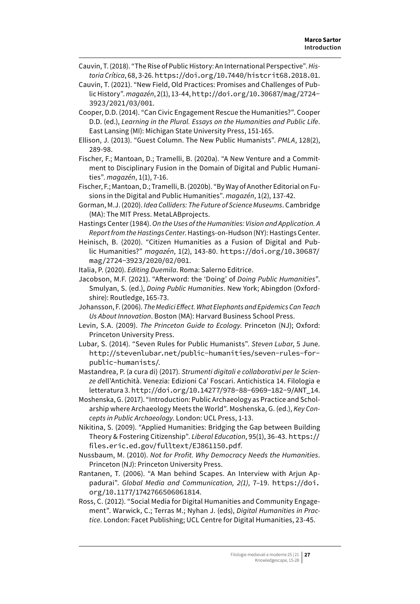- Cauvin, T. (2018). "The Rise of Public History: An International Perspective". *Historia Crítica*, 68, 3-26. <https://doi.org/10.7440/histcrit68.2018.01>.
- Cauvin, T. (2021). "New Field, Old Practices: Promises and Challenges of Public History". *magazén*, 2(1), 13-44, [http://doi.org/10.30687/mag/2724-](http://doi.org/10.30687/mag/2724-3923/2021/03/001) [3923/2021/03/001](http://doi.org/10.30687/mag/2724-3923/2021/03/001).
- Cooper, D.D. (2014). "Can Civic Engagement Rescue the Humanities?". Cooper D.D. (ed.), *Learning in the Plural. Essays on the Humanities and Public Life*. East Lansing (MI): Michigan State University Press, 151-165.
- Ellison, J. (2013). "Guest Column. The New Public Humanists". *PMLA*, 128(2), 289-98.
- Fischer, F.; Mantoan, D.; Tramelli, B. (2020a). "A New Venture and a Commitment to Disciplinary Fusion in the Domain of Digital and Public Humanities". *magazén*, 1(1), 7-16.
- Fischer, F.; Mantoan, D.; Tramelli, B. (2020b). "By Way of Another Editorial on Fusions in the Digital and Public Humanities". *magazén*, 1(2), 137-42.
- Gorman, M.J. (2020). *Idea Colliders: The Future of Science Museums*. Cambridge (MA): The MIT Press. MetaLABprojects.
- Hastings Center (1984). *On the Uses of the Humanities: Vision and Application. A Report from the Hastings Center*. Hastings-on-Hudson (NY): Hastings Center.
- Heinisch, B. (2020). "Citizen Humanities as a Fusion of Digital and Public Humanities?" *magazén*, 1(2), 143-80. [https://doi.org/10.30687/](https://doi.org/10.30687/mag/2724-3923/2020/02/001) [mag/2724-3923/2020/02/001](https://doi.org/10.30687/mag/2724-3923/2020/02/001).

Italia, P. (2020). *Editing Duemila*. Roma: Salerno Editrice.

- Jacobson, M.F. (2021). "Afterword: the 'Doing' of *Doing Public Humanities*". Smulyan, S. (ed.), *Doing Public Humanities*. New York; Abingdon (Oxfordshire): Routledge, 165-73.
- Johansson, F. (2006). *The Medici Effect. What Elephants and Epidemics Can Teach Us About Innovation*. Boston (MA): Harvard Business School Press.
- Levin, S.A. (2009). *The Princeton Guide to Ecology*. Princeton (NJ); Oxford: Princeton University Press.
- Lubar, S. (2014). "Seven Rules for Public Humanists". *Steven Lubar*, 5 June. [http://stevenlubar.net/public-humanities/seven-rules-for](http://stevenlubar.net/public-humanities/seven-rules-for-public-humanists/)[public-humanists/](http://stevenlubar.net/public-humanities/seven-rules-for-public-humanists/).
- Mastandrea, P. (a cura di) (2017). *Strumenti digitali e collaborativi per le Scienze d*ell'Antichità. Venezia: Edizioni Ca' Foscari. Antichistica 14. Filologia e letteratura 3. [http://doi.org/10.14277/978-88-6969-182-9/ANT\\_14](http://doi.org/10.14277/978-88-6969-182-9/ANT_14).

Moshenska, G. (2017). "Introduction: Public Archaeology as Practice and Scholarship where Archaeology Meets the World". Moshenska, G. (ed.), *Key Concepts in Public Archaeology*. London: UCL Press, 1-13.

Nikitina, S. (2009). "Applied Humanities: Bridging the Gap between Building Theory & Fostering Citizenship". *Liberal Education*, 95(1), 36-43. [https://](https://files.eric.ed.gov/fulltext/EJ861150.pdf) [files.eric.ed.gov/fulltext/EJ861150.pdf](https://files.eric.ed.gov/fulltext/EJ861150.pdf).

- Nussbaum, M. (2010). *Not for Profit. Why Democracy Needs the Humanities*. Princeton (NJ): Princeton University Press.
- Rantanen, T. (2006). "A Man behind Scapes. An Interview with Arjun Appadurai". *Global Media and Communication, 2(1)*, 7–19. [https://doi.](https://doi.org/10.1177/1742766506061814) [org/10.1177/1742766506061814](https://doi.org/10.1177/1742766506061814).
- Ross, C. (2012). "Social Media for Digital Humanities and Community Engagement". Warwick, C.; Terras M.; Nyhan J. (eds), *Digital Humanities in Practice*. London: Facet Publishing; UCL Centre for Digital Humanities, 23-45.